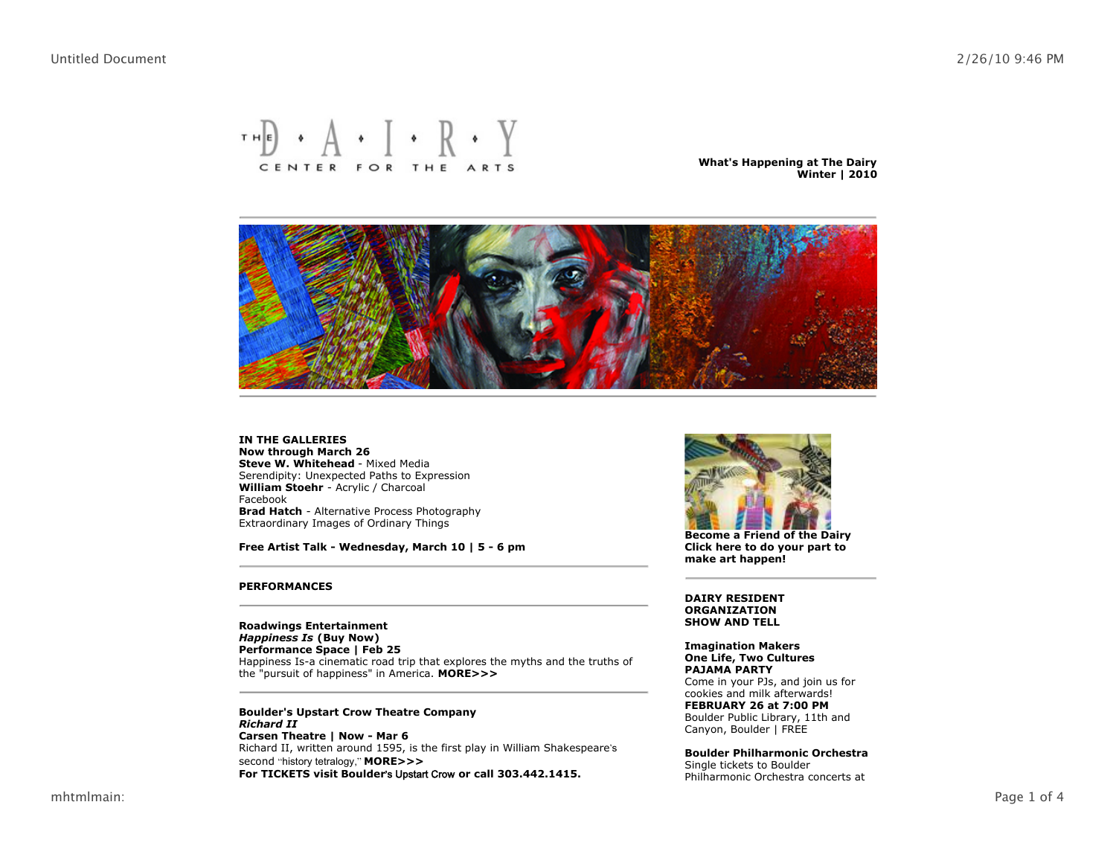# $\mathbf{H} \cdot \mathbf{A} \cdot \mathbf{I} \cdot \mathbf{R} \cdot \mathbf{Y}$ CENTER FOR THE ARTS

**What's Happening at The Dairy Winter | 2010**



**Steve W. Whitehead** - Mixed Media Serendipity: Unexpected Paths to Expression **William Stoehr** - Acrylic / Charcoal Facebook **Brad Hatch** - Alternative Process Photography Extraordinary Images of Ordinary Things **IN THE GALLERIES Now through March 26**

**Free Artist Talk - Wednesday, March 10 | 5 - 6 pm**

#### **PERFORMANCES**

Happiness Is-a cinematic road trip that explores the myths and the truths of the "pursuit of happiness" in America. **MORE>>> Roadwings Entertainment** *Happiness Is* **(Buy Now) Performance Space | Feb 25**

Richard II, written around 1595, is the first play in William Shakespeare s second "history tetralogy," **MORE>>> Boulder's Upstart Crow Theatre Company Carsen Theatre | Now - Mar 6** *Richard II* **For TICKETS visit Boulder** s Upstart Crow **or call 303.442.1415.**



**Become a Friend of the Dairy Click here to do your part to make art happen!**

**DAIRY RESIDENT ORGANIZATION SHOW AND TELL**

#### **Imagination Makers One Life, Two Cultures PAJAMA PARTY**

Come in your PJs, and join us for cookies and milk afterwards! Boulder Public Library, 11th and Canyon, Boulder | FREE **FEBRUARY 26 at 7:00 PM**

Single tickets to Boulder Philharmonic Orchestra concerts at **Boulder Philharmonic Orchestra**